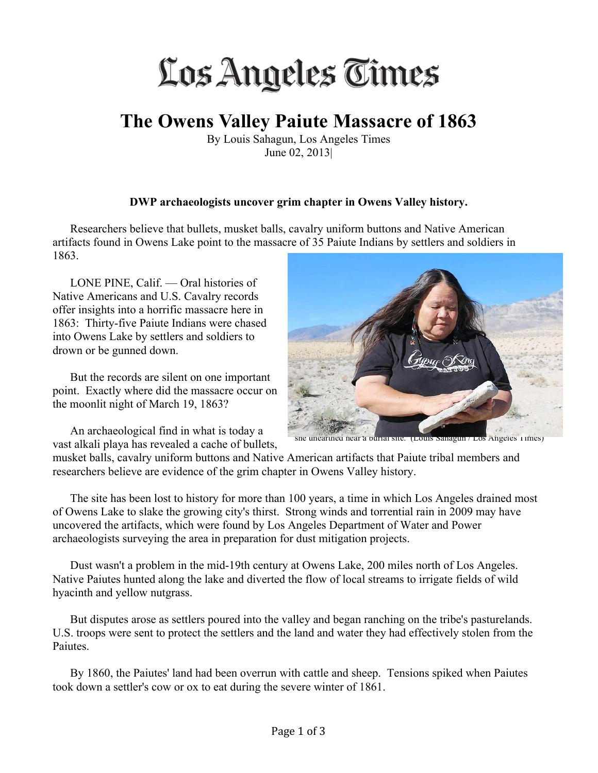## Los Angeles Times

## **The Owens Valley Paiute Massacre of 1863**

By Louis Sahagun, Los Angeles Times June 02, 2013|

## **DWP archaeologists uncover grim chapter in Owens Valley history.**

Researchers believe that bullets, musket balls, cavalry uniform buttons and Native American artifacts found in Owens Lake point to the massacre of 35 Paiute Indians by settlers and soldiers in 1863.

LONE PINE, Calif. — Oral histories of Native Americans and U.S. Cavalry records offer insights into a horrific massacre here in 1863: Thirty-five Paiute Indians were chased into Owens Lake by settlers and soldiers to drown or be gunned down.

But the records are silent on one important point. Exactly where did the massacre occur on the moonlit night of March 19, 1863?

An archaeological find in what is today a vast alkali playa has revealed a cache of bullets,



she unearthed near a burial site. (Louis Sanagun / Los Angeles Times)

musket balls, cavalry uniform buttons and Native American artifacts that Paiute tribal members and researchers believe are evidence of the grim chapter in Owens Valley history.

The site has been lost to history for more than 100 years, a time in which Los Angeles drained most of Owens Lake to slake the growing city's thirst. Strong winds and torrential rain in 2009 may have uncovered the artifacts, which were found by Los Angeles Department of Water and Power archaeologists surveying the area in preparation for dust mitigation projects.

Dust wasn't a problem in the mid-19th century at Owens Lake, 200 miles north of Los Angeles. Native Paiutes hunted along the lake and diverted the flow of local streams to irrigate fields of wild hyacinth and yellow nutgrass.

But disputes arose as settlers poured into the valley and began ranching on the tribe's pasturelands. U.S. troops were sent to protect the settlers and the land and water they had effectively stolen from the **Paiutes** 

By 1860, the Paiutes' land had been overrun with cattle and sheep. Tensions spiked when Paiutes took down a settler's cow or ox to eat during the severe winter of 1861.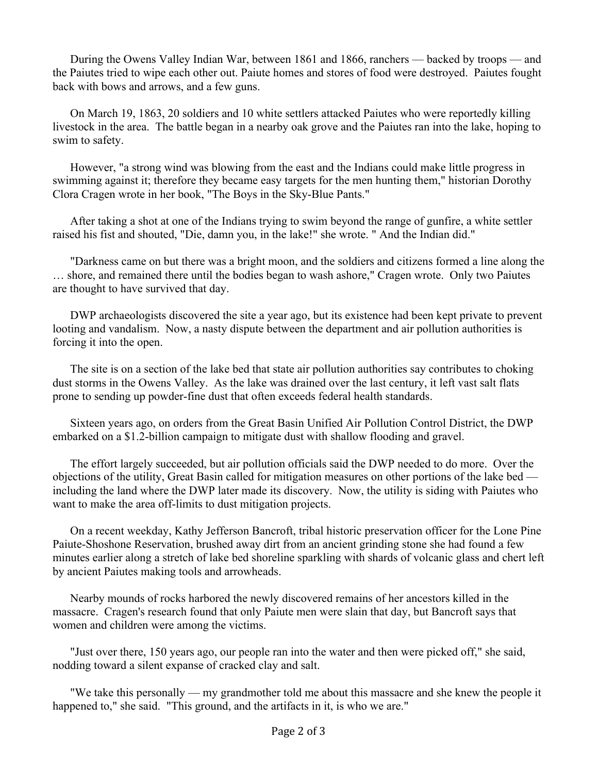During the Owens Valley Indian War, between 1861 and 1866, ranchers — backed by troops — and the Paiutes tried to wipe each other out. Paiute homes and stores of food were destroyed. Paiutes fought back with bows and arrows, and a few guns.

On March 19, 1863, 20 soldiers and 10 white settlers attacked Paiutes who were reportedly killing livestock in the area. The battle began in a nearby oak grove and the Paiutes ran into the lake, hoping to swim to safety.

However, "a strong wind was blowing from the east and the Indians could make little progress in swimming against it; therefore they became easy targets for the men hunting them," historian Dorothy Clora Cragen wrote in her book, "The Boys in the Sky-Blue Pants."

After taking a shot at one of the Indians trying to swim beyond the range of gunfire, a white settler raised his fist and shouted, "Die, damn you, in the lake!" she wrote. " And the Indian did."

"Darkness came on but there was a bright moon, and the soldiers and citizens formed a line along the … shore, and remained there until the bodies began to wash ashore," Cragen wrote. Only two Paiutes are thought to have survived that day.

DWP archaeologists discovered the site a year ago, but its existence had been kept private to prevent looting and vandalism. Now, a nasty dispute between the department and air pollution authorities is forcing it into the open.

The site is on a section of the lake bed that state air pollution authorities say contributes to choking dust storms in the Owens Valley. As the lake was drained over the last century, it left vast salt flats prone to sending up powder-fine dust that often exceeds federal health standards.

Sixteen years ago, on orders from the Great Basin Unified Air Pollution Control District, the DWP embarked on a \$1.2-billion campaign to mitigate dust with shallow flooding and gravel.

The effort largely succeeded, but air pollution officials said the DWP needed to do more. Over the objections of the utility, Great Basin called for mitigation measures on other portions of the lake bed including the land where the DWP later made its discovery. Now, the utility is siding with Paiutes who want to make the area off-limits to dust mitigation projects.

On a recent weekday, Kathy Jefferson Bancroft, tribal historic preservation officer for the Lone Pine Paiute-Shoshone Reservation, brushed away dirt from an ancient grinding stone she had found a few minutes earlier along a stretch of lake bed shoreline sparkling with shards of volcanic glass and chert left by ancient Paiutes making tools and arrowheads.

Nearby mounds of rocks harbored the newly discovered remains of her ancestors killed in the massacre. Cragen's research found that only Paiute men were slain that day, but Bancroft says that women and children were among the victims.

"Just over there, 150 years ago, our people ran into the water and then were picked off," she said, nodding toward a silent expanse of cracked clay and salt.

"We take this personally — my grandmother told me about this massacre and she knew the people it happened to," she said. "This ground, and the artifacts in it, is who we are."